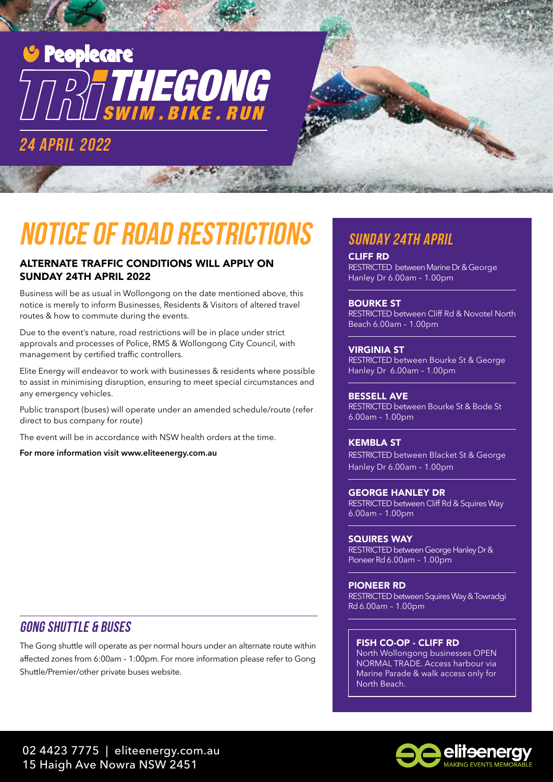# Peoplecare **THEGONG**

24 APRIL 2022



## NOTICE OF ROAD RESTRICTIONS

#### ALTERNATE TRAFFIC CONDITIONS WILL APPLY ON SUNDAY 24TH APRIL 2022

Business will be as usual in Wollongong on the date mentioned above, this notice is merely to inform Businesses, Residents & Visitors of altered travel routes & how to commute during the events.

Due to the event's nature, road restrictions will be in place under strict approvals and processes of Police, RMS & Wollongong City Council, with management by certified traffic controllers.

Elite Energy will endeavor to work with businesses & residents where possible to assist in minimising disruption, ensuring to meet special circumstances and any emergency vehicles.

Public transport (buses) will operate under an amended schedule/route (refer direct to bus company for route)

The event will be in accordance with NSW health orders at the time.

**For more information visit www.eliteenergy.com.au**

### Sunday 24th April

#### CLIFF RD

RESTRICTED between Marine Dr & George Hanley Dr 6.00am – 1.00pm

#### BOURKE ST

RESTRICTED between Cliff Rd & Novotel North Beach 6.00am – 1.00pm

#### VIRGINIA ST

RESTRICTED between Bourke St & George Hanley Dr 6.00am – 1.00pm

#### BESSELL AVE

RESTRICTED between Bourke St & Bode St 6.00am – 1.00pm

#### KEMBLA ST

RESTRICTED between Blacket St & George Hanley Dr 6.00am – 1.00pm

GEORGE HANLEY DR RESTRICTED between Cliff Rd & Squires Way 6.00am – 1.00pm

SQUIRES WAY RESTRICTED between George Hanley Dr & Pioneer Rd 6.00am – 1.00pm

PIONEER RD RESTRICTED between Squires Way & Towradgi Rd 6.00am – 1.00pm

#### FISH CO-OP - CLIFF RD

North Wollongong businesses OPEN NORMAL TRADE. Access harbour via Marine Parade & walk access only for North Beach.

#### GONG SHUTTLE & BUSES

The Gong shuttle will operate as per normal hours under an alternate route within affected zones from 6:00am – 1:00pm. For more information please refer to Gong Shuttle/Premier/other private buses website.